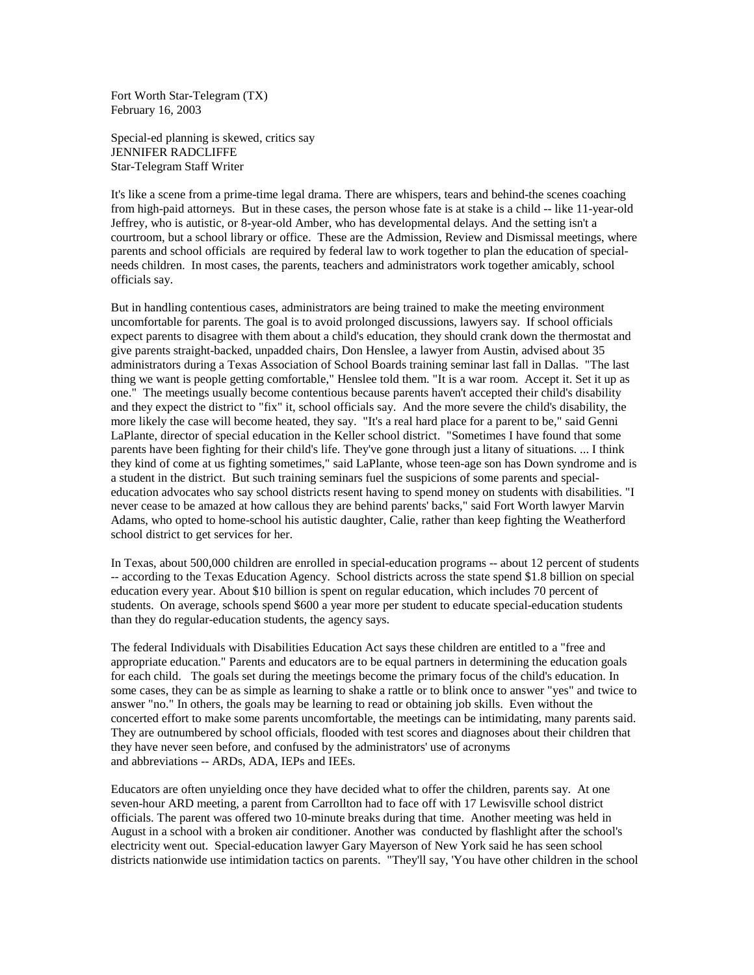Fort Worth Star-Telegram (TX) February 16, 2003

Special-ed planning is skewed, critics say JENNIFER RADCLIFFE Star-Telegram Staff Writer

It's like a scene from a prime-time legal drama. There are whispers, tears and behind-the scenes coaching from high-paid attorneys. But in these cases, the person whose fate is at stake is a child -- like 11-year-old Jeffrey, who is autistic, or 8-year-old Amber, who has developmental delays. And the setting isn't a courtroom, but a school library or office. These are the Admission, Review and Dismissal meetings, where parents and school officials are required by federal law to work together to plan the education of specialneeds children. In most cases, the parents, teachers and administrators work together amicably, school officials say.

But in handling contentious cases, administrators are being trained to make the meeting environment uncomfortable for parents. The goal is to avoid prolonged discussions, lawyers say. If school officials expect parents to disagree with them about a child's education, they should crank down the thermostat and give parents straight-backed, unpadded chairs, Don Henslee, a lawyer from Austin, advised about 35 administrators during a Texas Association of School Boards training seminar last fall in Dallas. "The last thing we want is people getting comfortable," Henslee told them. "It is a war room. Accept it. Set it up as one." The meetings usually become contentious because parents haven't accepted their child's disability and they expect the district to "fix" it, school officials say. And the more severe the child's disability, the more likely the case will become heated, they say. "It's a real hard place for a parent to be," said Genni LaPlante, director of special education in the Keller school district. "Sometimes I have found that some parents have been fighting for their child's life. They've gone through just a litany of situations. ... I think they kind of come at us fighting sometimes," said LaPlante, whose teen-age son has Down syndrome and is a student in the district. But such training seminars fuel the suspicions of some parents and specialeducation advocates who say school districts resent having to spend money on students with disabilities. "I never cease to be amazed at how callous they are behind parents' backs," said Fort Worth lawyer Marvin Adams, who opted to home-school his autistic daughter, Calie, rather than keep fighting the Weatherford school district to get services for her.

In Texas, about 500,000 children are enrolled in special-education programs -- about 12 percent of students -- according to the Texas Education Agency. School districts across the state spend \$1.8 billion on special education every year. About \$10 billion is spent on regular education, which includes 70 percent of students. On average, schools spend \$600 a year more per student to educate special-education students than they do regular-education students, the agency says.

The federal Individuals with Disabilities Education Act says these children are entitled to a "free and appropriate education." Parents and educators are to be equal partners in determining the education goals for each child. The goals set during the meetings become the primary focus of the child's education. In some cases, they can be as simple as learning to shake a rattle or to blink once to answer "yes" and twice to answer "no." In others, the goals may be learning to read or obtaining job skills. Even without the concerted effort to make some parents uncomfortable, the meetings can be intimidating, many parents said. They are outnumbered by school officials, flooded with test scores and diagnoses about their children that they have never seen before, and confused by the administrators' use of acronyms and abbreviations -- ARDs, ADA, IEPs and IEEs.

Educators are often unyielding once they have decided what to offer the children, parents say. At one seven-hour ARD meeting, a parent from Carrollton had to face off with 17 Lewisville school district officials. The parent was offered two 10-minute breaks during that time. Another meeting was held in August in a school with a broken air conditioner. Another was conducted by flashlight after the school's electricity went out. Special-education lawyer Gary Mayerson of New York said he has seen school districts nationwide use intimidation tactics on parents. "They'll say, 'You have other children in the school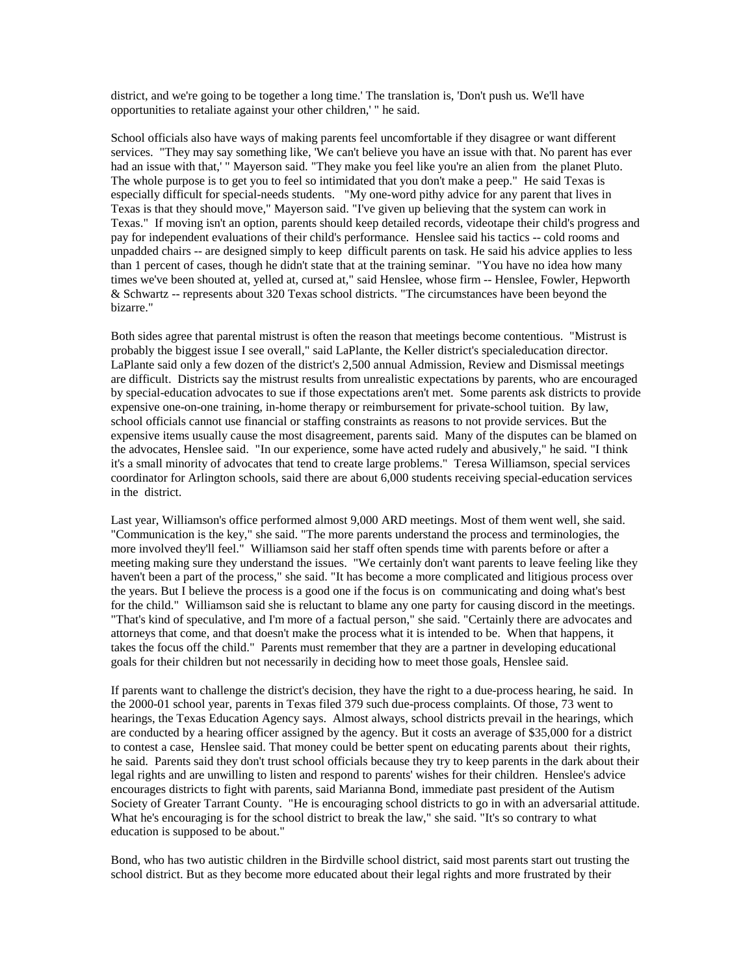district, and we're going to be together a long time.' The translation is, 'Don't push us. We'll have opportunities to retaliate against your other children,' " he said.

School officials also have ways of making parents feel uncomfortable if they disagree or want different services. "They may say something like, 'We can't believe you have an issue with that. No parent has ever had an issue with that,' " Mayerson said. "They make you feel like you're an alien from the planet Pluto. The whole purpose is to get you to feel so intimidated that you don't make a peep." He said Texas is especially difficult for special-needs students. "My one-word pithy advice for any parent that lives in Texas is that they should move," Mayerson said. "I've given up believing that the system can work in Texas." If moving isn't an option, parents should keep detailed records, videotape their child's progress and pay for independent evaluations of their child's performance. Henslee said his tactics -- cold rooms and unpadded chairs -- are designed simply to keep difficult parents on task. He said his advice applies to less than 1 percent of cases, though he didn't state that at the training seminar. "You have no idea how many times we've been shouted at, yelled at, cursed at," said Henslee, whose firm -- Henslee, Fowler, Hepworth & Schwartz -- represents about 320 Texas school districts. "The circumstances have been beyond the bizarre."

Both sides agree that parental mistrust is often the reason that meetings become contentious. "Mistrust is probably the biggest issue I see overall," said LaPlante, the Keller district's specialeducation director. LaPlante said only a few dozen of the district's 2,500 annual Admission, Review and Dismissal meetings are difficult. Districts say the mistrust results from unrealistic expectations by parents, who are encouraged by special-education advocates to sue if those expectations aren't met. Some parents ask districts to provide expensive one-on-one training, in-home therapy or reimbursement for private-school tuition. By law, school officials cannot use financial or staffing constraints as reasons to not provide services. But the expensive items usually cause the most disagreement, parents said. Many of the disputes can be blamed on the advocates, Henslee said. "In our experience, some have acted rudely and abusively," he said. "I think it's a small minority of advocates that tend to create large problems." Teresa Williamson, special services coordinator for Arlington schools, said there are about 6,000 students receiving special-education services in the district.

Last year, Williamson's office performed almost 9,000 ARD meetings. Most of them went well, she said. "Communication is the key," she said. "The more parents understand the process and terminologies, the more involved they'll feel." Williamson said her staff often spends time with parents before or after a meeting making sure they understand the issues. "We certainly don't want parents to leave feeling like they haven't been a part of the process," she said. "It has become a more complicated and litigious process over the years. But I believe the process is a good one if the focus is on communicating and doing what's best for the child." Williamson said she is reluctant to blame any one party for causing discord in the meetings. "That's kind of speculative, and I'm more of a factual person," she said. "Certainly there are advocates and attorneys that come, and that doesn't make the process what it is intended to be. When that happens, it takes the focus off the child." Parents must remember that they are a partner in developing educational goals for their children but not necessarily in deciding how to meet those goals, Henslee said.

If parents want to challenge the district's decision, they have the right to a due-process hearing, he said. In the 2000-01 school year, parents in Texas filed 379 such due-process complaints. Of those, 73 went to hearings, the Texas Education Agency says. Almost always, school districts prevail in the hearings, which are conducted by a hearing officer assigned by the agency. But it costs an average of \$35,000 for a district to contest a case, Henslee said. That money could be better spent on educating parents about their rights, he said. Parents said they don't trust school officials because they try to keep parents in the dark about their legal rights and are unwilling to listen and respond to parents' wishes for their children. Henslee's advice encourages districts to fight with parents, said Marianna Bond, immediate past president of the Autism Society of Greater Tarrant County. "He is encouraging school districts to go in with an adversarial attitude. What he's encouraging is for the school district to break the law," she said. "It's so contrary to what education is supposed to be about."

Bond, who has two autistic children in the Birdville school district, said most parents start out trusting the school district. But as they become more educated about their legal rights and more frustrated by their